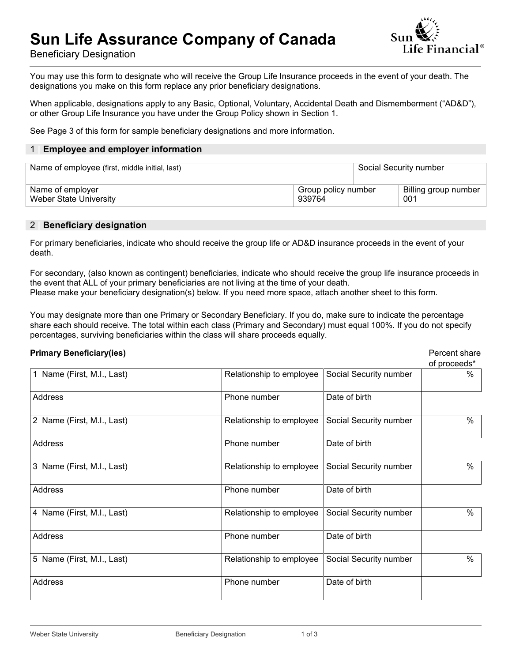# **Sun Life Assurance Company of Canada**



Beneficiary Designation

You may use this form to designate who will receive the Group Life Insurance proceeds in the event of your death. The designations you make on this form replace any prior beneficiary designations.

When applicable, designations apply to any Basic, Optional, Voluntary, Accidental Death and Dismemberment ("AD&D"), or other Group Life Insurance you have under the Group Policy shown in Section 1.

See Page 3 of this form for sample beneficiary designations and more information.

#### 1 **| Employee and employer information**

| Name of employee (first, middle initial, last) |                                      |  | Social Security number |
|------------------------------------------------|--------------------------------------|--|------------------------|
| Name of employer<br>Weber State University     | Group policy number<br>001<br>939764 |  | Billing group number   |

#### 2 **| Beneficiary designation**

For primary beneficiaries, indicate who should receive the group life or AD&D insurance proceeds in the event of your death.

For secondary, (also known as contingent) beneficiaries, indicate who should receive the group life insurance proceeds in the event that ALL of your primary beneficiaries are not living at the time of your death. Please make your beneficiary designation(s) below. If you need more space, attach another sheet to this form.

You may designate more than one Primary or Secondary Beneficiary. If you do, make sure to indicate the percentage share each should receive. The total within each class (Primary and Secondary) must equal 100%. If you do not specify percentages, surviving beneficiaries within the class will share proceeds equally.

#### **Primary Beneficiary(ies) Primary Beneficiary(ies) Percent share**

|                            |                          |                        | of proceeds* |
|----------------------------|--------------------------|------------------------|--------------|
| 1 Name (First, M.I., Last) | Relationship to employee | Social Security number | ℅            |
| Address                    | Phone number             | Date of birth          |              |
| 2 Name (First, M.I., Last) | Relationship to employee | Social Security number | $\%$         |
| <b>Address</b>             | Phone number             | Date of birth          |              |
| 3 Name (First, M.I., Last) | Relationship to employee | Social Security number | $\%$         |
| Address                    | Phone number             | Date of birth          |              |
| 4 Name (First, M.I., Last) | Relationship to employee | Social Security number | $\%$         |
| Address                    | Phone number             | Date of birth          |              |
| 5 Name (First, M.I., Last) | Relationship to employee | Social Security number | $\%$         |
| Address                    | Phone number             | Date of birth          |              |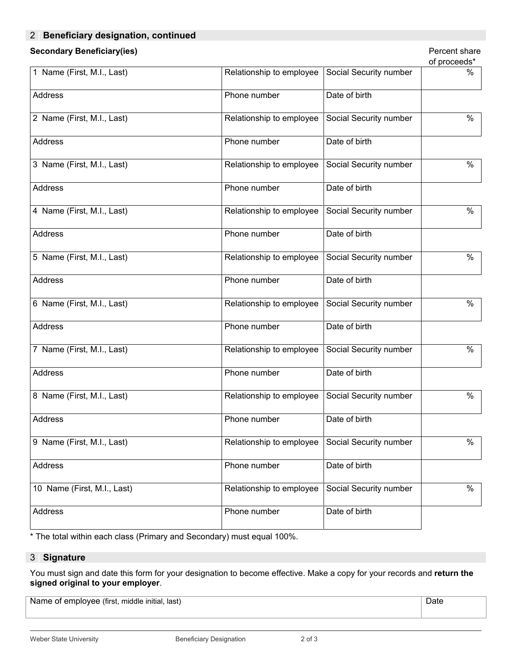### 2 **| Beneficiary designation, continued**

## **Secondary Beneficiary(ies)** Percent share and the secondary **Percent share** Percent share

| ٠ | ۰. | ۰.<br>$\sim$ |  |
|---|----|--------------|--|
|   |    |              |  |

|                             |                          |                        | of proceeds* |
|-----------------------------|--------------------------|------------------------|--------------|
| 1 Name (First, M.I., Last)  | Relationship to employee | Social Security number | $\%$         |
| Address                     | Phone number             | Date of birth          |              |
| 2 Name (First, M.I., Last)  | Relationship to employee | Social Security number | $\%$         |
| Address                     | Phone number             | Date of birth          |              |
| 3 Name (First, M.I., Last)  | Relationship to employee | Social Security number | $\%$         |
| Address                     | Phone number             | Date of birth          |              |
| 4 Name (First, M.I., Last)  | Relationship to employee | Social Security number | $\%$         |
| Address                     | Phone number             | Date of birth          |              |
| 5 Name (First, M.I., Last)  | Relationship to employee | Social Security number | $\%$         |
| Address                     | Phone number             | Date of birth          |              |
| 6 Name (First, M.I., Last)  | Relationship to employee | Social Security number | $\%$         |
| Address                     | Phone number             | Date of birth          |              |
| 7 Name (First, M.I., Last)  | Relationship to employee | Social Security number | $\%$         |
| Address                     | Phone number             | Date of birth          |              |
| 8 Name (First, M.I., Last)  | Relationship to employee | Social Security number | $\%$         |
| Address                     | Phone number             | Date of birth          |              |
| 9 Name (First, M.I., Last)  | Relationship to employee | Social Security number | $\%$         |
| Address                     | Phone number             | Date of birth          |              |
| 10 Name (First, M.I., Last) | Relationship to employee | Social Security number | $\%$         |
| Address                     | Phone number             | Date of birth          |              |

\* The total within each class (Primary and Secondary) must equal 100%.

#### 3 **| Signature**

You must sign and date this form for your designation to become effective. Make a copy for your records and **return the signed original to your employer**.

Name of employee (first, middle initial, last)

Date